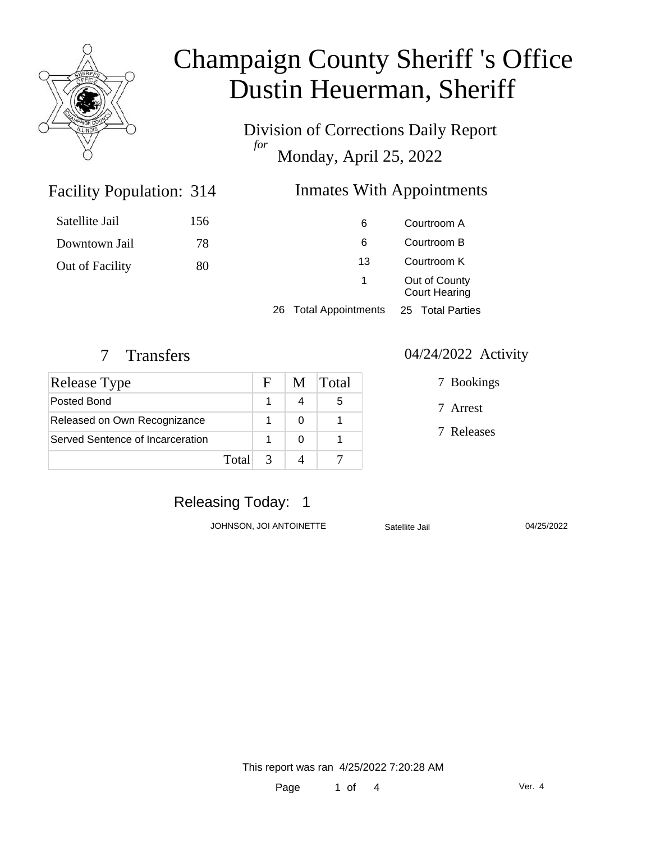

Division of Corrections Daily Report *for* Monday, April 25, 2022

### Facility Population:

### Inmates With Appointments

| Satellite Jail  | 156 | 6                               | Courtroom A                           |  |
|-----------------|-----|---------------------------------|---------------------------------------|--|
| Downtown Jail   | 78  | 6                               | Courtroom B                           |  |
| Out of Facility | 80  | 13                              | Courtroom K                           |  |
|                 |     |                                 | Out of County<br><b>Court Hearing</b> |  |
|                 |     | <b>Total Appointments</b><br>26 | 25 Total Parties                      |  |

| <b>Release Type</b>              |       | H             | M. | <b>Total</b> |
|----------------------------------|-------|---------------|----|--------------|
| Posted Bond                      |       |               |    | 5            |
| Released on Own Recognizance     |       |               |    |              |
| Served Sentence of Incarceration |       |               |    |              |
|                                  | Total | $\mathcal{R}$ |    |              |

#### 7 Transfers 04/24/2022 Activity

7 Bookings

7 Arrest

7 Releases

### Releasing Today: 1

JOHNSON, JOI ANTOINETTE Satellite Jail 04/25/2022

This report was ran 4/25/2022 7:20:28 AM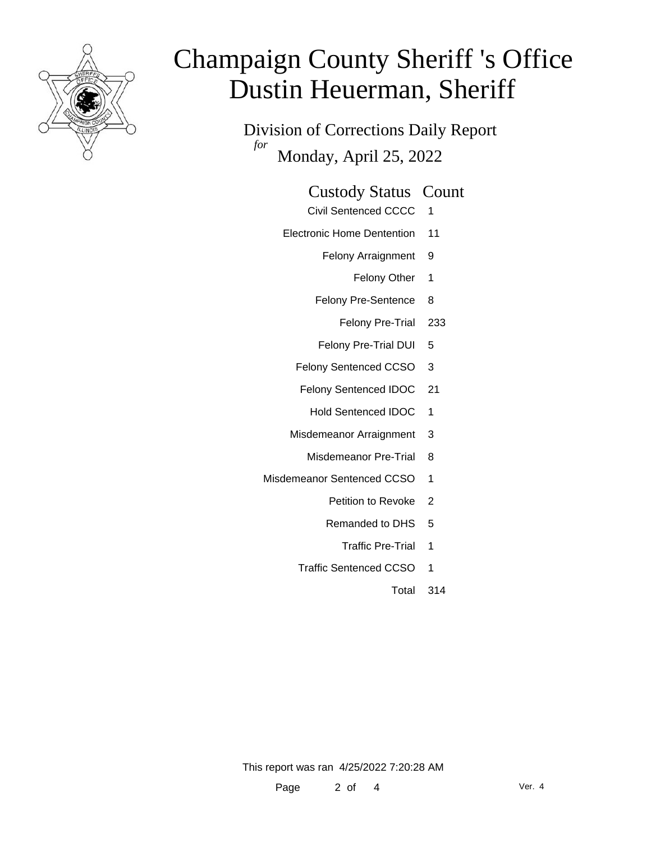

Division of Corrections Daily Report *for* Monday, April 25, 2022

#### Custody Status Count

- Civil Sentenced CCCC 1
- Electronic Home Dentention 11
	- Felony Arraignment 9
		- Felony Other 1
	- Felony Pre-Sentence 8
		- Felony Pre-Trial 233
	- Felony Pre-Trial DUI 5
	- Felony Sentenced CCSO 3
	- Felony Sentenced IDOC 21
		- Hold Sentenced IDOC 1
	- Misdemeanor Arraignment 3
		- Misdemeanor Pre-Trial 8
- Misdemeanor Sentenced CCSO 1
	- Petition to Revoke 2
	- Remanded to DHS 5
		- Traffic Pre-Trial 1
	- Traffic Sentenced CCSO 1
		- Total 314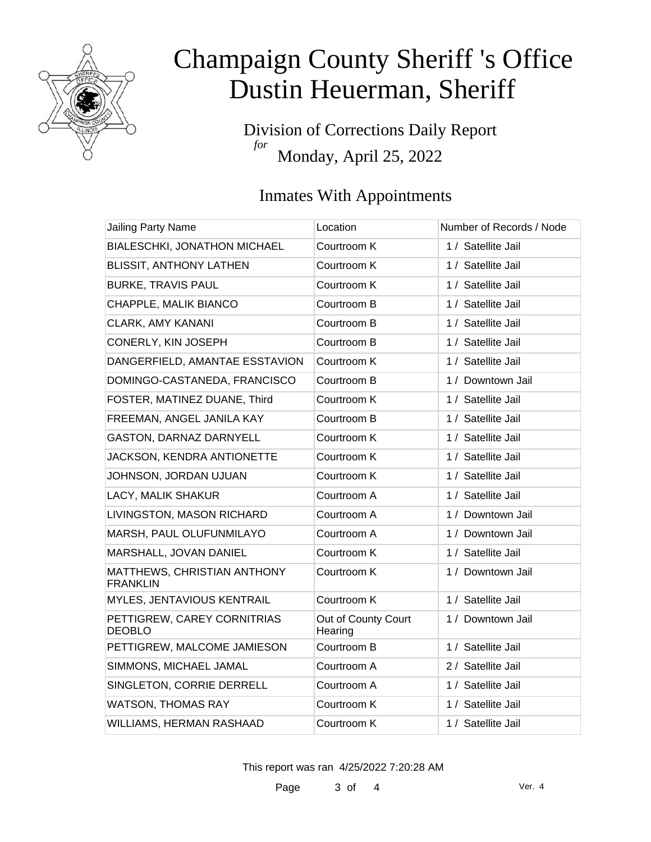

Division of Corrections Daily Report *for* Monday, April 25, 2022

### Inmates With Appointments

| <b>Jailing Party Name</b>                      | Location                       | Number of Records / Node |
|------------------------------------------------|--------------------------------|--------------------------|
| <b>BIALESCHKI, JONATHON MICHAEL</b>            | Courtroom K                    | 1 / Satellite Jail       |
| <b>BLISSIT, ANTHONY LATHEN</b>                 | Courtroom K                    | 1 / Satellite Jail       |
| <b>BURKE, TRAVIS PAUL</b>                      | Courtroom K                    | 1 / Satellite Jail       |
| CHAPPLE, MALIK BIANCO                          | Courtroom B                    | 1 / Satellite Jail       |
| <b>CLARK, AMY KANANI</b>                       | Courtroom B                    | 1 / Satellite Jail       |
| CONERLY, KIN JOSEPH                            | Courtroom B                    | 1 / Satellite Jail       |
| DANGERFIELD, AMANTAE ESSTAVION                 | Courtroom K                    | 1 / Satellite Jail       |
| DOMINGO-CASTANEDA, FRANCISCO                   | Courtroom B                    | 1 / Downtown Jail        |
| FOSTER, MATINEZ DUANE, Third                   | Courtroom K                    | 1 / Satellite Jail       |
| FREEMAN, ANGEL JANILA KAY                      | Courtroom B                    | 1 / Satellite Jail       |
| GASTON, DARNAZ DARNYELL                        | Courtroom K                    | 1 / Satellite Jail       |
| JACKSON, KENDRA ANTIONETTE                     | Courtroom K                    | 1 / Satellite Jail       |
| JOHNSON, JORDAN UJUAN                          | Courtroom K                    | 1 / Satellite Jail       |
| LACY, MALIK SHAKUR                             | Courtroom A                    | 1 / Satellite Jail       |
| LIVINGSTON, MASON RICHARD                      | Courtroom A                    | 1 / Downtown Jail        |
| MARSH, PAUL OLUFUNMILAYO                       | Courtroom A                    | 1 / Downtown Jail        |
| MARSHALL, JOVAN DANIEL                         | Courtroom K                    | 1 / Satellite Jail       |
| MATTHEWS, CHRISTIAN ANTHONY<br><b>FRANKLIN</b> | Courtroom K                    | 1 / Downtown Jail        |
| MYLES, JENTAVIOUS KENTRAIL                     | Courtroom K                    | 1 / Satellite Jail       |
| PETTIGREW, CAREY CORNITRIAS<br><b>DEOBLO</b>   | Out of County Court<br>Hearing | 1 / Downtown Jail        |
| PETTIGREW, MALCOME JAMIESON                    | Courtroom B                    | 1 / Satellite Jail       |
| SIMMONS, MICHAEL JAMAL                         | Courtroom A                    | 2 / Satellite Jail       |
| SINGLETON, CORRIE DERRELL                      | Courtroom A                    | 1 / Satellite Jail       |
| <b>WATSON, THOMAS RAY</b>                      | Courtroom K                    | 1 / Satellite Jail       |
| <b>WILLIAMS, HERMAN RASHAAD</b>                | Courtroom K                    | 1 / Satellite Jail       |

This report was ran 4/25/2022 7:20:28 AM